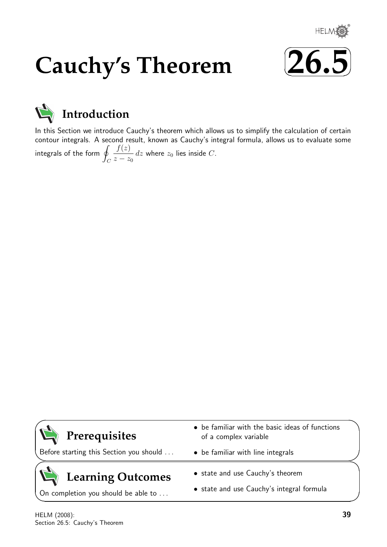

# **Cauchy's Theorem**





# **Introduction**

In this Section we introduce Cauchy's theorem which allows us to simplify the calculation of certain contour integrals. A second result, known as Cauchy's integral formula, allows us to evaluate some integrals of the form  $\overline{q}$ C  $f(z)$  $z - z_0$  $dz$  where  $z_0$  lies inside  $C$ .



# **Learning Outcomes**

On completion you should be able to ...

- state and use Cauchy's theorem
- state and use Cauchy's integral formula

 $\overline{\phantom{0}}$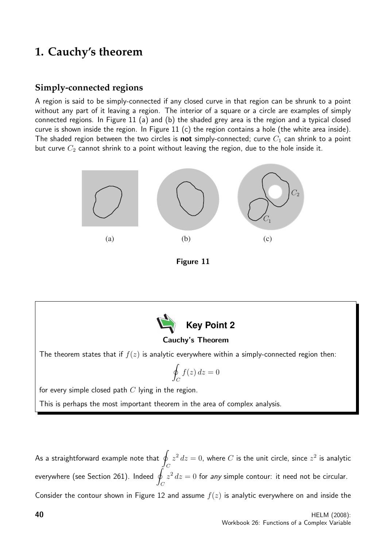# **1. Cauchy's theorem**

# **Simply-connected regions**

A region is said to be simply-connected if any closed curve in that region can be shrunk to a point without any part of it leaving a region. The interior of a square or a circle are examples of simply connected regions. In Figure 11 (a) and (b) the shaded grey area is the region and a typical closed curve is shown inside the region. In Figure 11 (c) the region contains a hole (the white area inside). The shaded region between the two circles is **not** simply-connected; curve  $C_1$  can shrink to a point but curve  $C_2$  cannot shrink to a point without leaving the region, due to the hole inside it.



Figure 11



## Cauchy's Theorem

The theorem states that if  $f(z)$  is analytic everywhere within a simply-connected region then:

$$
\oint_C f(z) \, dz = 0
$$

for every simple closed path  $C$  lying in the region.

This is perhaps the most important theorem in the area of complex analysis.

As a straightforward example note that  $|q|$  $\mathcal C$  $z^2\,dz=0$ , where  $C$  is the unit circle, since  $z^2$  is analytic everywhere (see Section 261). Indeed  $q$  $\mathcal C$  $z^2 dz = 0$  for any simple contour: it need not be circular. Consider the contour shown in Figure 12 and assume  $f(z)$  is analytic everywhere on and inside the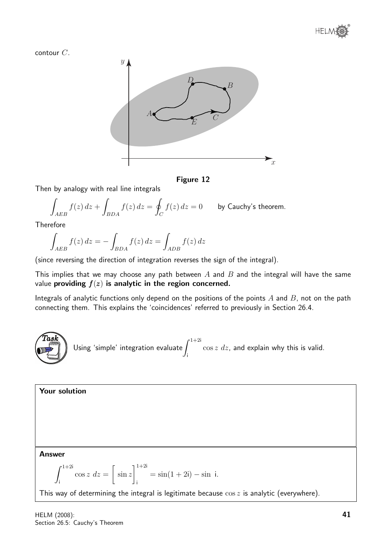

contour C.



### Figure 12

Then by analogy with real line integrals

$$
\int_{AEB} f(z) dz + \int_{BDA} f(z) dz = \oint_C f(z) dz = 0
$$
 by Cauchy's theorem.

Therefore

$$
\int_{AEB} f(z) dz = - \int_{BDA} f(z) dz = \int_{ADB} f(z) dz
$$

(since reversing the direction of integration reverses the sign of the integral).

This implies that we may choose any path between  $A$  and  $B$  and the integral will have the same value providing  $f(z)$  is analytic in the region concerned.

Integrals of analytic functions only depend on the positions of the points  $A$  and  $B$ , not on the path connecting them. This explains the 'coincidences' referred to previously in Section 26.4.



Your solution Answer  $\int_0^{1+2i}$  $\cos z \, dz =$  $\sqrt{ }$ sin z  $]$ <sup>1+2i</sup>  $=$  sin(1 + 2i) – sin i.

This way of determining the integral is legitimate because  $\cos z$  is analytic (everywhere).

i

i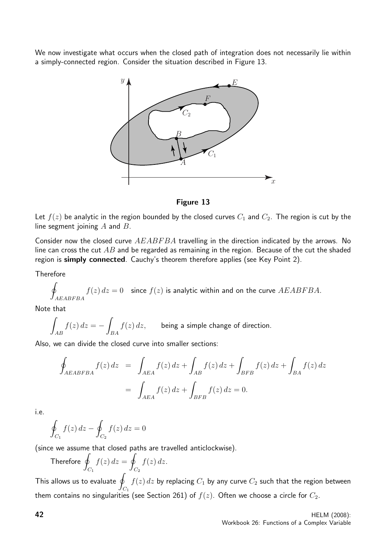We now investigate what occurs when the closed path of integration does not necessarily lie within a simply-connected region. Consider the situation described in Figure 13.



Figure 13

Let  $f(z)$  be analytic in the region bounded by the closed curves  $C_1$  and  $C_2$ . The region is cut by the line segment joining  $A$  and  $B$ .

Consider now the closed curve  $AEABFBA$  travelling in the direction indicated by the arrows. No line can cross the cut  $AB$  and be regarded as remaining in the region. Because of the cut the shaded region is simply connected. Cauchy's theorem therefore applies (see Key Point 2).

**Therefore** 

$$
\oint_{AEABFBA} f(z) dz = 0
$$
 since  $f(z)$  is analytic within and on the curve  $AEABFBA$ .

Note that

$$
\int_{AB} f(z) dz = - \int_{BA} f(z) dz,
$$
 being a simple change of direction.

Also, we can divide the closed curve into smaller sections:

$$
\oint_{AEABFBA} f(z) dz = \int_{AEA} f(z) dz + \int_{AB} f(z) dz + \int_{BFB} f(z) dz + \int_{BA} f(z) dz
$$
\n
$$
= \int_{AEA} f(z) dz + \int_{BFB} f(z) dz = 0.
$$

i.e.

$$
\oint_{C_1} f(z) dz - \oint_{C_2} f(z) dz = 0
$$

(since we assume that closed paths are travelled anticlockwise).

Therefore  $q$  $C_1$  $f(z) dz = 9$  $C_{2}$  $f(z)$  dz.

This allows us to evaluate  $\overline{q}$  $C_1$  $f(z)\,dz$  by replacing  $C_1$  by any curve  $C_2$  such that the region between them contains no singularities (see Section 261) of  $f(z)$ . Often we choose a circle for  $C_2$ .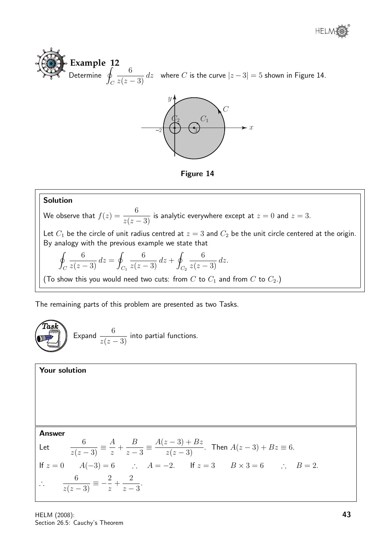





Figure 14

### Solution

We observe that  $f(z) = \frac{6}{z}$  $\frac{3}{z(z-3)}$  is analytic everywhere except at  $z=0$  and  $z=3$ .

Let  $C_1$  be the circle of unit radius centred at  $z = 3$  and  $C_2$  be the unit circle centered at the origin. By analogy with the previous example we state that

$$
\oint_C \frac{6}{z(z-3)} dz = \oint_{C_1} \frac{6}{z(z-3)} dz + \oint_{C_2} \frac{6}{z(z-3)} dz.
$$

(To show this you would need two cuts: from  $C$  to  $C_1$  and from  $C$  to  $C_2$ .)

The remaining parts of this problem are presented as two Tasks.

**Task**  
Expand 
$$
\frac{6}{z(z-3)}
$$
 into partial functions.

#### Your solution

Answer  
\nLet 
$$
\frac{6}{z(z-3)} \equiv \frac{A}{z} + \frac{B}{z-3} \equiv \frac{A(z-3) + Bz}{z(z-3)}
$$
. Then  $A(z-3) + Bz \equiv 6$ .  
\nIf  $z = 0$   $A(-3) = 6$   $\therefore$   $A = -2$ . If  $z = 3$   $B \times 3 = 6$   $\therefore$   $B = 2$ .  
\n $\therefore$   $\frac{6}{z(z-3)} \equiv -\frac{2}{z} + \frac{2}{z-3}$ .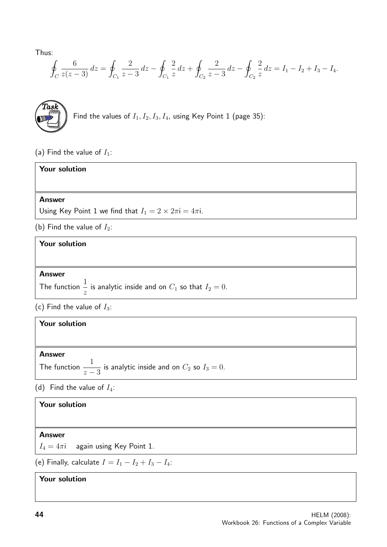Thus:

$$
\oint_C \frac{6}{z(z-3)} dz = \oint_{C_1} \frac{2}{z-3} dz - \oint_{C_1} \frac{2}{z} dz + \oint_{C_2} \frac{2}{z-3} dz - \oint_{C_2} \frac{2}{z} dz = I_1 - I_2 + I_3 - I_4.
$$



(a) Find the value of  $I_1$ :

| Your solution                                                                  |
|--------------------------------------------------------------------------------|
|                                                                                |
| <b>Answer</b>                                                                  |
| Using Key Point 1 we find that $I_1 = 2 \times 2\pi i = 4\pi i$ .              |
| (b) Find the value of $I_2$ :                                                  |
| Your solution                                                                  |
|                                                                                |
| <b>Answer</b>                                                                  |
| The function $\frac{1}{x}$ is analytic inside and on $C_1$ so that $I_2 = 0$ . |

(c) Find the value of  $I_3$ :

| <b>Your solution</b>                                                                         |  |
|----------------------------------------------------------------------------------------------|--|
|                                                                                              |  |
| <b>Answer</b><br>The function $\frac{1}{z-3}$ is analytic inside and on $C_2$ so $I_3 = 0$ . |  |

(d) Find the value of  $I_4$ :

# Your solution

### Answer

 $I_4 = 4\pi$ i again using Key Point 1.

(e) Finally, calculate  $I = I_1 - I_2 + I_3 - I_4$ :

Your solution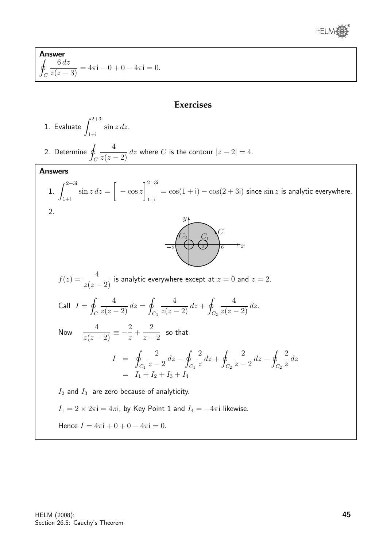

Answer I  $\mathcal{C}_{0}^{0}$  $\frac{6 dz}{z(z-3)} = 4\pi i - 0 + 0 - 4\pi i = 0.$ 

# **Exercises**

1. Evaluate 
$$
\int_{1+i}^{2+3i} \sin z \, dz
$$
.  
\n2. Determine  $\oint_C \frac{4}{z(z-2)} dz$  where C is the contour  $|z-2| = 4$ .  
\nAnswers  
\n1.  $\int_{1+i}^{2+3i} \sin z \, dz = \left[ -\cos z \right]_{1+i}^{2+3i} = \cos(1+i) - \cos(2+3i)$  since  $\sin z$  is analytic everywhere.  
\n2.  $\int_{1+i}^{2+3i} \sin z \, dz = \left[ -\cos z \right]_{1+i}^{2+3i} = \cos(1+i) - \cos(2+3i)$  since  $\sin z$  is analytic everywhere.  
\n2.  $\int_{-2}^{3i} \frac{4}{z(z-2)} dz$  is analytic everywhere except at  $z = 0$  and  $z = 2$ .  
\nCall  $I = \oint_C \frac{4}{z(z-2)} dz = \oint_{C_1} \frac{4}{z(z-2)} dz + \oint_{C_2} \frac{4}{z(z-2)} dz$ .  
\nNow  $\frac{4}{z(z-2)} = -\frac{2}{z} + \frac{2}{z-2}$  so that  
\n $I = \oint_{C_1} \frac{2}{z-2} dz - \oint_{C_1} \frac{2}{z} dz + \oint_{C_2} \frac{2}{z-2} dz - \oint_{C_2} \frac{2}{z} dz$   
\n $= I_1 + I_2 + I_3 + I_4$   
\n $I_2$  and  $I_3$  are zero because of analyticity.  
\n $I_1 = 2 \times 2\pi i = 4\pi i$ , by Key Point 1 and  $I_4 = -4\pi i$  likewise.  
\nHence  $I = 4\pi i + 0 + 0 - 4\pi i = 0$ .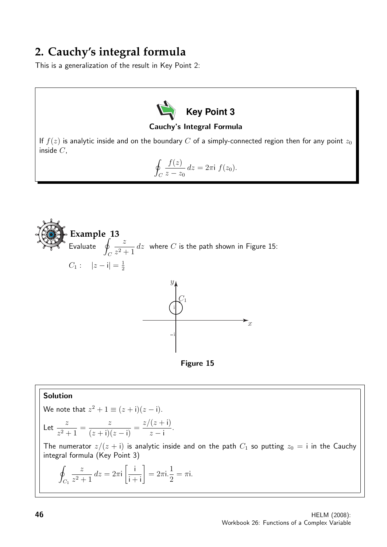# **2. Cauchy's integral formula**

This is a generalization of the result in Key Point 2:



Cauchy's Integral Formula

If  $f(z)$  is analytic inside and on the boundary C of a simply-connected region then for any point  $z_0$ inside C,

$$
\oint_C \frac{f(z)}{z - z_0} dz = 2\pi i f(z_0).
$$



## Solution

We note that 
$$
z^2 + 1 \equiv (z + i)(z - i)
$$
.

Let 
$$
\frac{z}{z^2 + 1} = \frac{z}{(z + i)(z - i)} = \frac{z/(z + i)}{z - i}.
$$

The numerator  $z/(z + i)$  is analytic inside and on the path  $C_1$  so putting  $z_0 = i$  in the Cauchy integral formula (Key Point 3)

$$
\oint_{C_1} \frac{z}{z^2 + 1} dz = 2\pi i \left[ \frac{i}{i + i} \right] = 2\pi i \cdot \frac{1}{2} = \pi i.
$$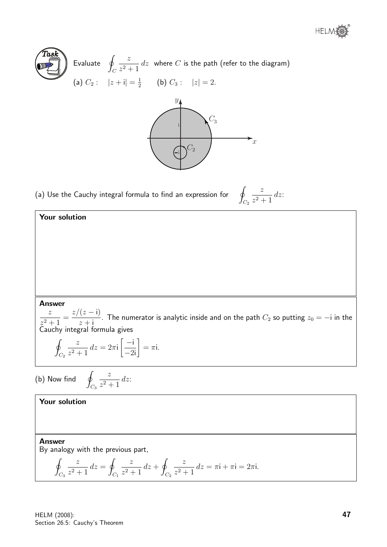



(a) Use the Cauchy integral formula to find an expression for

$$
\oint_{C_2} \frac{z}{z^2 + 1} \, dz
$$

#### Answer

Your solution

z  $\frac{z^2+1}{z^2+1} =$  $z/(z - i)$  $\frac{z}{z+1}$ . The numerator is analytic inside and on the path  $C_2$  so putting  $z_0 = -i$  in the Cauchy integral formula gives

$$
\oint_{C_2} \frac{z}{z^2 + 1} \, dz = 2\pi i \left[ \frac{-i}{-2i} \right] = \pi i.
$$

z  $\frac{z^2+1}{z^2+1}dz$ 

(b) Now find

Your solution

Answer

By analogy with the previous part,

 $C_3$ 

$$
\oint_{C_3} \frac{z}{z^2 + 1} dz = \oint_{C_1} \frac{z}{z^2 + 1} dz + \oint_{C_2} \frac{z}{z^2 + 1} dz = \pi i + \pi i = 2\pi i.
$$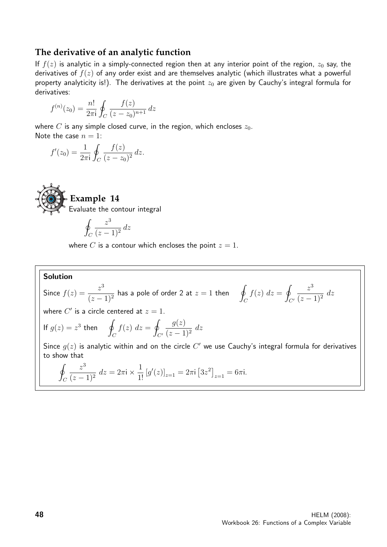## **The derivative of an analytic function**

If  $f(z)$  is analytic in a simply-connected region then at any interior point of the region,  $z_0$  say, the derivatives of  $f(z)$  of any order exist and are themselves analytic (which illustrates what a powerful property analyticity is!). The derivatives at the point  $z_0$  are given by Cauchy's integral formula for derivatives:

$$
f^{(n)}(z_0) = \frac{n!}{2\pi i} \oint_C \frac{f(z)}{(z - z_0)^{n+1}} dz
$$

where C is any simple closed curve, in the region, which encloses  $z_0$ . Note the case  $n = 1$ :

$$
f'(z_0) = \frac{1}{2\pi i} \oint_C \frac{f(z)}{(z - z_0)^2} dz.
$$



$$
\oint_C \frac{z^3}{(z-1)^2} \, dz
$$

where C is a contour which encloses the point  $z = 1$ .

## Solution

Since  $f(z) = \frac{z^3}{\sqrt{z}}$  $(z-1)^2$ has a pole of order 2 at  $z = 1$  then I  $\mathcal{C}_{0}^{(n)}$  $f(z) dz = 0$  $C'$  $z^3$  $\frac{z}{(z-1)^2}$  dz where  $C'$  is a circle centered at  $z = 1$ . I  $\sqrt{2}$ 

If 
$$
g(z) = z^3
$$
 then  $\oint_C f(z) dz = \oint_{C'} \frac{g(z)}{(z-1)^2} dz$ 

Since  $g(z)$  is analytic within and on the circle  $C'$  we use Cauchy's integral formula for derivatives to show that

$$
\oint_C \frac{z^3}{(z-1)^2} dz = 2\pi i \times \frac{1}{1!} [g'(z)]_{z=1} = 2\pi i [3z^2]_{z=1} = 6\pi i.
$$